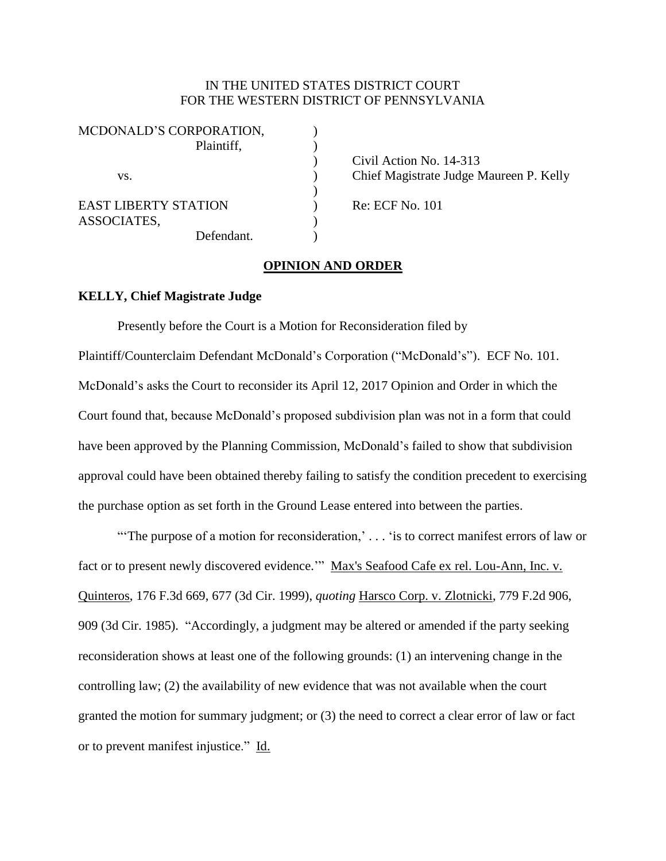# IN THE UNITED STATES DISTRICT COURT FOR THE WESTERN DISTRICT OF PENNSYLVANIA

| MCDONALD'S CORPORATION,     |            |
|-----------------------------|------------|
|                             | Plaintiff, |
|                             |            |
| VS.                         |            |
|                             |            |
| <b>EAST LIBERTY STATION</b> |            |
| ASSOCIATES,                 |            |
|                             | Defendant. |

) Civil Action No. 14-313 ) Chief Magistrate Judge Maureen P. Kelly

 $)$  Re: ECF No. 101

## **OPINION AND ORDER**

#### **KELLY, Chief Magistrate Judge**

Presently before the Court is a Motion for Reconsideration filed by Plaintiff/Counterclaim Defendant McDonald's Corporation ("McDonald's"). ECF No. 101. McDonald's asks the Court to reconsider its April 12, 2017 Opinion and Order in which the Court found that, because McDonald's proposed subdivision plan was not in a form that could have been approved by the Planning Commission, McDonald's failed to show that subdivision approval could have been obtained thereby failing to satisfy the condition precedent to exercising the purchase option as set forth in the Ground Lease entered into between the parties.

"The purpose of a motion for reconsideration,' . . . 'is to correct manifest errors of law or fact or to present newly discovered evidence.'" Max's Seafood Cafe ex rel. Lou-Ann, Inc. v. Quinteros, 176 F.3d 669, 677 (3d Cir. 1999), *quoting* Harsco Corp. v. Zlotnicki, 779 F.2d 906, 909 (3d Cir. 1985). "Accordingly, a judgment may be altered or amended if the party seeking reconsideration shows at least one of the following grounds: (1) an intervening change in the controlling law; (2) the availability of new evidence that was not available when the court granted the motion for summary judgment; or (3) the need to correct a clear error of law or fact or to prevent manifest injustice." Id.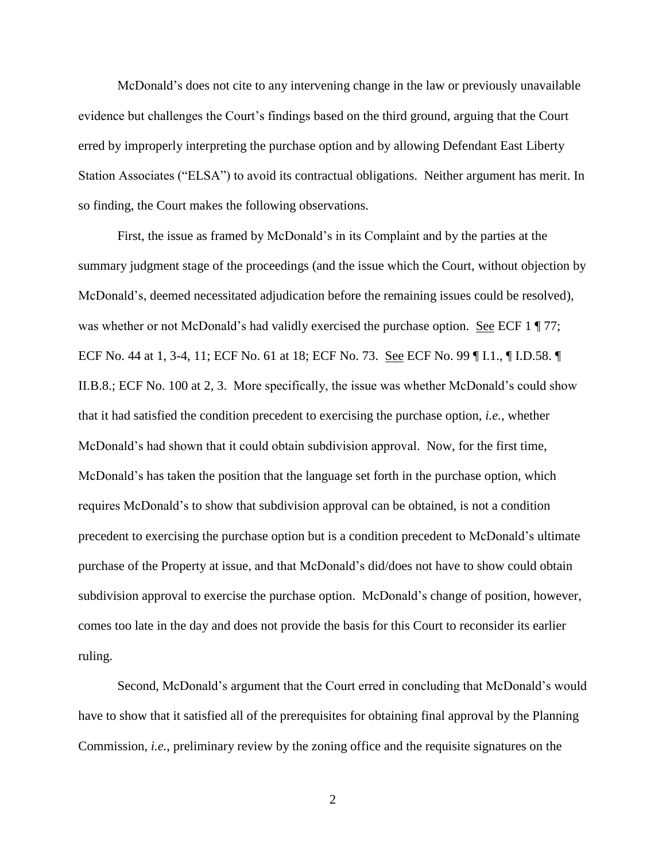McDonald's does not cite to any intervening change in the law or previously unavailable evidence but challenges the Court's findings based on the third ground, arguing that the Court erred by improperly interpreting the purchase option and by allowing Defendant East Liberty Station Associates ("ELSA") to avoid its contractual obligations. Neither argument has merit. In so finding, the Court makes the following observations.

First, the issue as framed by McDonald's in its Complaint and by the parties at the summary judgment stage of the proceedings (and the issue which the Court, without objection by McDonald's, deemed necessitated adjudication before the remaining issues could be resolved), was whether or not McDonald's had validly exercised the purchase option. See ECF 1  $\parallel$  77; ECF No. 44 at 1, 3-4, 11; ECF No. 61 at 18; ECF No. 73. See ECF No. 99 ¶ I.1., ¶ I.D.58. ¶ II.B.8.; ECF No. 100 at 2, 3. More specifically, the issue was whether McDonald's could show that it had satisfied the condition precedent to exercising the purchase option, *i.e.*, whether McDonald's had shown that it could obtain subdivision approval. Now, for the first time, McDonald's has taken the position that the language set forth in the purchase option, which requires McDonald's to show that subdivision approval can be obtained, is not a condition precedent to exercising the purchase option but is a condition precedent to McDonald's ultimate purchase of the Property at issue, and that McDonald's did/does not have to show could obtain subdivision approval to exercise the purchase option. McDonald's change of position, however, comes too late in the day and does not provide the basis for this Court to reconsider its earlier ruling.

Second, McDonald's argument that the Court erred in concluding that McDonald's would have to show that it satisfied all of the prerequisites for obtaining final approval by the Planning Commission, *i.e.*, preliminary review by the zoning office and the requisite signatures on the

2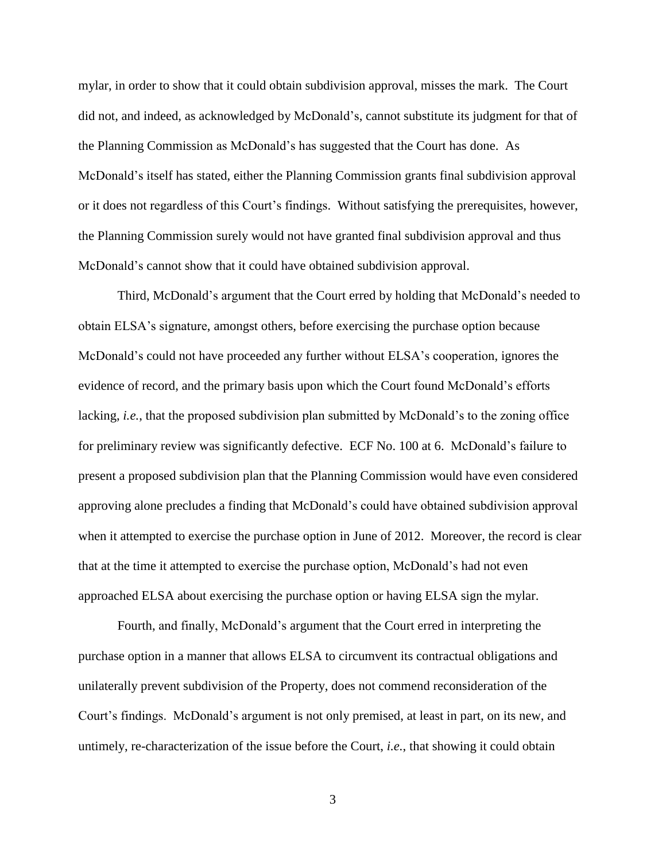mylar, in order to show that it could obtain subdivision approval, misses the mark. The Court did not, and indeed, as acknowledged by McDonald's, cannot substitute its judgment for that of the Planning Commission as McDonald's has suggested that the Court has done. As McDonald's itself has stated, either the Planning Commission grants final subdivision approval or it does not regardless of this Court's findings. Without satisfying the prerequisites, however, the Planning Commission surely would not have granted final subdivision approval and thus McDonald's cannot show that it could have obtained subdivision approval.

Third, McDonald's argument that the Court erred by holding that McDonald's needed to obtain ELSA's signature, amongst others, before exercising the purchase option because McDonald's could not have proceeded any further without ELSA's cooperation, ignores the evidence of record, and the primary basis upon which the Court found McDonald's efforts lacking, *i.e.*, that the proposed subdivision plan submitted by McDonald's to the zoning office for preliminary review was significantly defective. ECF No. 100 at 6. McDonald's failure to present a proposed subdivision plan that the Planning Commission would have even considered approving alone precludes a finding that McDonald's could have obtained subdivision approval when it attempted to exercise the purchase option in June of 2012. Moreover, the record is clear that at the time it attempted to exercise the purchase option, McDonald's had not even approached ELSA about exercising the purchase option or having ELSA sign the mylar.

Fourth, and finally, McDonald's argument that the Court erred in interpreting the purchase option in a manner that allows ELSA to circumvent its contractual obligations and unilaterally prevent subdivision of the Property, does not commend reconsideration of the Court's findings. McDonald's argument is not only premised, at least in part, on its new, and untimely, re-characterization of the issue before the Court, *i.e.*, that showing it could obtain

3